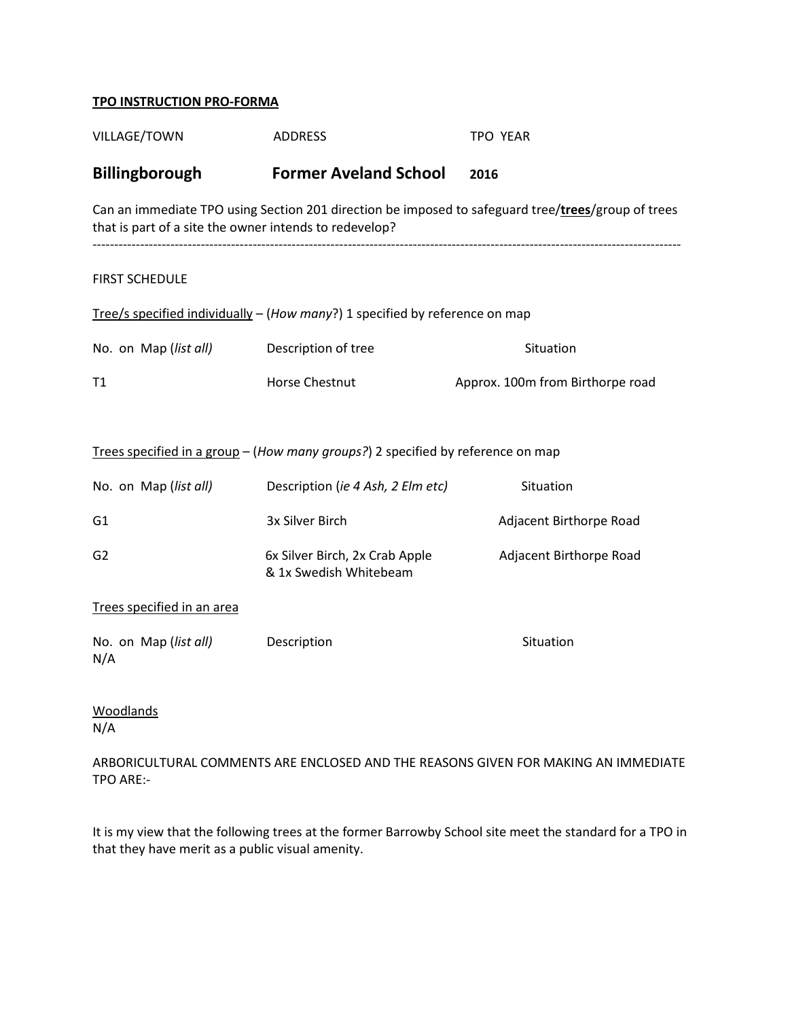#### **TPO INSTRUCTION PRO-FORMA**

| VILLAGE/TOWN                                                                                                                                                 | <b>ADDRESS</b>                                           | <b>TPO YEAR</b>                  |
|--------------------------------------------------------------------------------------------------------------------------------------------------------------|----------------------------------------------------------|----------------------------------|
| <b>Billingborough</b>                                                                                                                                        | <b>Former Aveland School</b>                             | 2016                             |
| Can an immediate TPO using Section 201 direction be imposed to safeguard tree/trees/group of trees<br>that is part of a site the owner intends to redevelop? |                                                          |                                  |
| <b>FIRST SCHEDULE</b>                                                                                                                                        |                                                          |                                  |
| Tree/s specified individually - (How many?) 1 specified by reference on map                                                                                  |                                                          |                                  |
| No. on Map (list all)                                                                                                                                        | Description of tree                                      | Situation                        |
| Τ1                                                                                                                                                           | Horse Chestnut                                           | Approx. 100m from Birthorpe road |
| Trees specified in a group - (How many groups?) 2 specified by reference on map                                                                              |                                                          |                                  |
| No. on Map (list all)                                                                                                                                        | Description (ie 4 Ash, 2 Elm etc)                        | Situation                        |
| G <sub>1</sub>                                                                                                                                               | 3x Silver Birch                                          | Adjacent Birthorpe Road          |
| G <sub>2</sub>                                                                                                                                               | 6x Silver Birch, 2x Crab Apple<br>& 1x Swedish Whitebeam | Adjacent Birthorpe Road          |
| Trees specified in an area                                                                                                                                   |                                                          |                                  |
| No. on Map (list all)<br>N/A                                                                                                                                 | Description                                              | Situation                        |
| Woodlands                                                                                                                                                    |                                                          |                                  |

N/A

ARBORICULTURAL COMMENTS ARE ENCLOSED AND THE REASONS GIVEN FOR MAKING AN IMMEDIATE TPO ARE:-

It is my view that the following trees at the former Barrowby School site meet the standard for a TPO in that they have merit as a public visual amenity.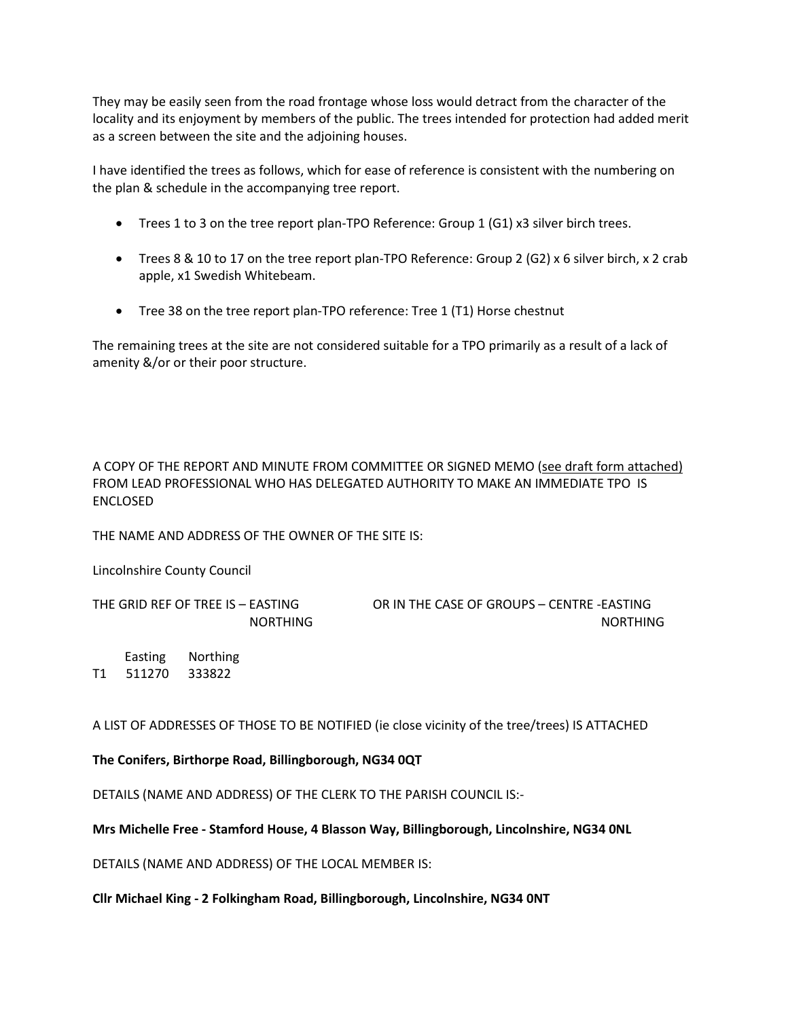They may be easily seen from the road frontage whose loss would detract from the character of the locality and its enjoyment by members of the public. The trees intended for protection had added merit as a screen between the site and the adjoining houses.

I have identified the trees as follows, which for ease of reference is consistent with the numbering on the plan & schedule in the accompanying tree report.

- Trees 1 to 3 on the tree report plan-TPO Reference: Group 1 (G1) x3 silver birch trees.
- Trees 8 & 10 to 17 on the tree report plan-TPO Reference: Group 2 (G2) x 6 silver birch, x 2 crab apple, x1 Swedish Whitebeam.
- Tree 38 on the tree report plan-TPO reference: Tree 1 (T1) Horse chestnut

The remaining trees at the site are not considered suitable for a TPO primarily as a result of a lack of amenity &/or or their poor structure.

# A COPY OF THE REPORT AND MINUTE FROM COMMITTEE OR SIGNED MEMO (see draft form attached) FROM LEAD PROFESSIONAL WHO HAS DELEGATED AUTHORITY TO MAKE AN IMMEDIATE TPO IS ENCLOSED

THE NAME AND ADDRESS OF THE OWNER OF THE SITE IS:

Lincolnshire County Council

THE GRID REF OF TREE IS – EASTING OR IN THE CASE OF GROUPS – CENTRE -EASTING NORTHING NORTHING

 Easting Northing T1 511270 333822

A LIST OF ADDRESSES OF THOSE TO BE NOTIFIED (ie close vicinity of the tree/trees) IS ATTACHED

#### **The Conifers, Birthorpe Road, Billingborough, NG34 0QT**

DETAILS (NAME AND ADDRESS) OF THE CLERK TO THE PARISH COUNCIL IS:-

#### **Mrs Michelle Free - Stamford House, 4 Blasson Way, Billingborough, Lincolnshire, NG34 0NL**

DETAILS (NAME AND ADDRESS) OF THE LOCAL MEMBER IS:

**Cllr Michael King - 2 Folkingham Road, Billingborough, Lincolnshire, NG34 0NT**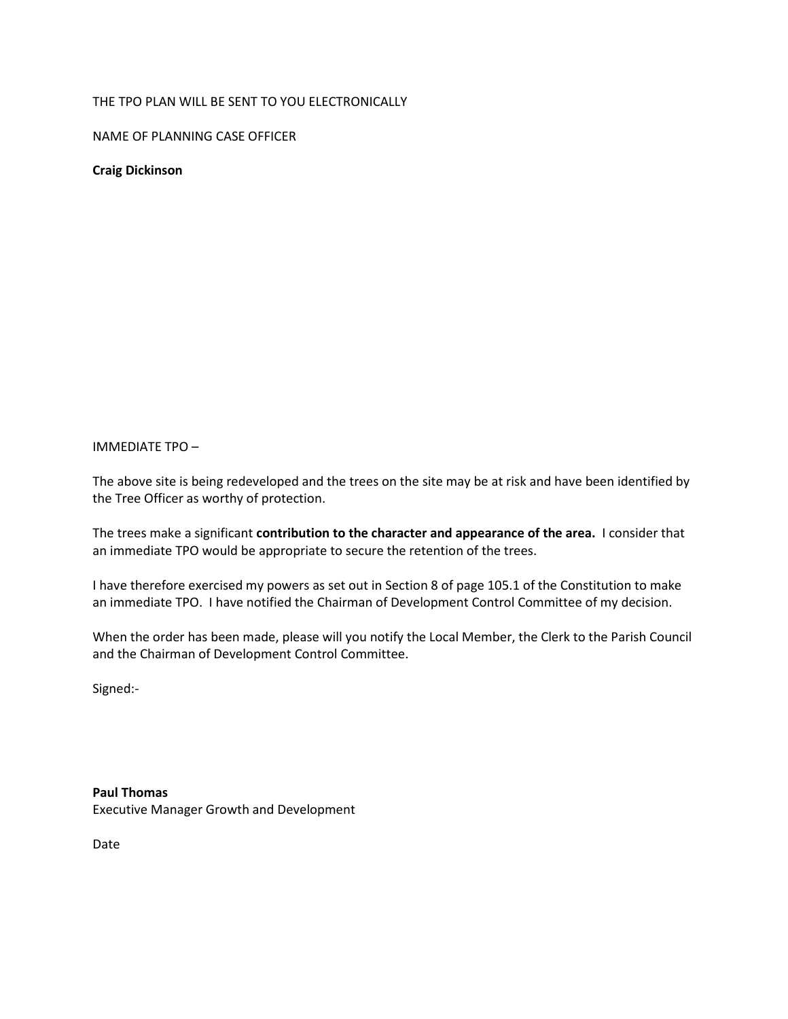### THE TPO PLAN WILL BE SENT TO YOU ELECTRONICALLY

NAME OF PLANNING CASE OFFICER

**Craig Dickinson**

#### IMMEDIATE TPO –

The above site is being redeveloped and the trees on the site may be at risk and have been identified by the Tree Officer as worthy of protection.

The trees make a significant **contribution to the character and appearance of the area.** I consider that an immediate TPO would be appropriate to secure the retention of the trees.

I have therefore exercised my powers as set out in Section 8 of page 105.1 of the Constitution to make an immediate TPO. I have notified the Chairman of Development Control Committee of my decision.

When the order has been made, please will you notify the Local Member, the Clerk to the Parish Council and the Chairman of Development Control Committee.

Signed:-

**Paul Thomas** Executive Manager Growth and Development

Date